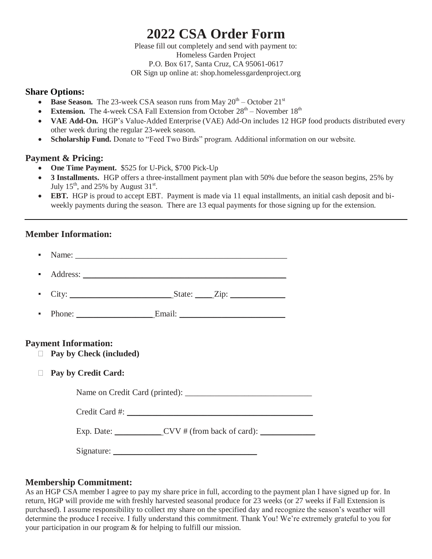# **2022 CSA Order Form**

Please fill out completely and send with payment to: Homeless Garden Project P.O. Box 617, Santa Cruz, CA 95061-0617 OR Sign up online at: shop.homelessgardenproject.org

#### **Share Options:**

- Base Season. The 23-week CSA season runs from May  $20^{th}$  October  $21^{st}$
- **Extension.** The 4-week CSA Fall Extension from October  $28<sup>th</sup>$  November  $18<sup>th</sup>$
- **VAE Add-On.** HGP's Value-Added Enterprise (VAE) Add-On includes 12 HGP food products distributed every other week during the regular 23-week season.
- **Scholarship Fund.** Donate to "Feed Two Birds" program. Additional information on our website.

#### **Payment & Pricing:**

- **One Time Payment.** \$525 for U-Pick, \$700 Pick-Up
- **3 Installments.** HGP offers a three-installment payment plan with 50% due before the season begins, 25% by July  $15^{th}$ , and  $25\%$  by August  $31^{st}$ .
- **EBT.** HGP is proud to accept EBT. Payment is made via 11 equal installments, an initial cash deposit and biweekly payments during the season. There are 13 equal payments for those signing up for the extension.

#### **Member Information:**

| $\blacksquare$ |                                                                                                 |  |
|----------------|-------------------------------------------------------------------------------------------------|--|
|                |                                                                                                 |  |
| ٠              | $City:$ State: $Zip:$                                                                           |  |
| ٠              |                                                                                                 |  |
|                | <b>Payment Information:</b><br>• Pay by Check (included)<br>• Pay by Credit Card:               |  |
|                | Exp. Date: _______________CVV # (from back of card): ____________________________<br>Signature: |  |
|                |                                                                                                 |  |

#### **Membership Commitment:**

As an HGP CSA member I agree to pay my share price in full, according to the payment plan I have signed up for. In return, HGP will provide me with freshly harvested seasonal produce for 23 weeks (or 27 weeks if Fall Extension is purchased). I assume responsibility to collect my share on the specified day and recognize the season's weather will determine the produce I receive. I fully understand this commitment. Thank You! We're extremely grateful to you for your participation in our program & for helping to fulfill our mission.